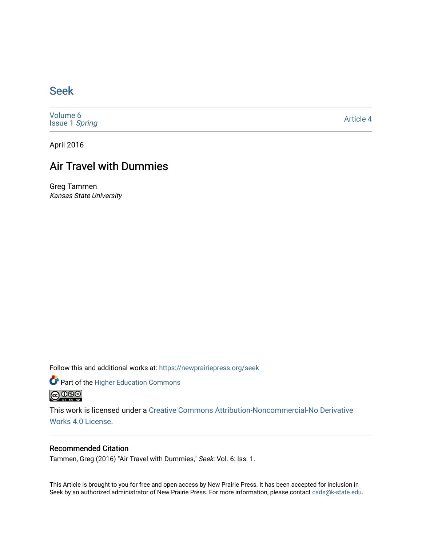### [Seek](https://newprairiepress.org/seek)

[Volume 6](https://newprairiepress.org/seek/vol6) [Issue 1](https://newprairiepress.org/seek/vol6/iss1) Spring

[Article 4](https://newprairiepress.org/seek/vol6/iss1/4) 

April 2016

# Air Travel with Dummies

Greg Tammen Kansas State University

Follow this and additional works at: [https://newprairiepress.org/seek](https://newprairiepress.org/seek?utm_source=newprairiepress.org%2Fseek%2Fvol6%2Fiss1%2F4&utm_medium=PDF&utm_campaign=PDFCoverPages)

Part of the [Higher Education Commons](http://network.bepress.com/hgg/discipline/1245?utm_source=newprairiepress.org%2Fseek%2Fvol6%2Fiss1%2F4&utm_medium=PDF&utm_campaign=PDFCoverPages) 



This work is licensed under a [Creative Commons Attribution-Noncommercial-No Derivative](https://creativecommons.org/licenses/by-nc-nd/4.0/)  [Works 4.0 License](https://creativecommons.org/licenses/by-nc-nd/4.0/).

#### Recommended Citation

Tammen, Greg (2016) "Air Travel with Dummies," Seek: Vol. 6: Iss. 1.

This Article is brought to you for free and open access by New Prairie Press. It has been accepted for inclusion in Seek by an authorized administrator of New Prairie Press. For more information, please contact [cads@k-state.edu](mailto:cads@k-state.edu).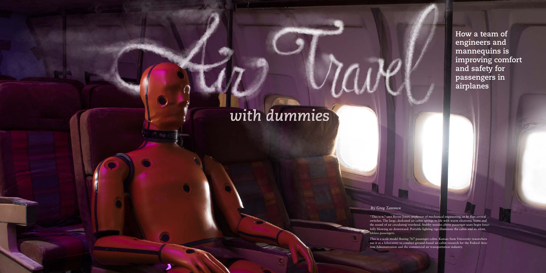*16* **Seek Spring 2016** *17*

**How a team of engineers and mannequins is improving comfort and safety for passengers in airplanes**

"This is it," says Byron Jones, professor of mechanical engineering, as he flips several switches. The large, darkened air cabin springs to life with warm electronic hums and the sound of air circulating overhead. Stubby nozzles above passenger seats begin forcefully blowing air downward. Portable lighting rigs illuminate the cabin and its silent, lifeless passengers.

This is a scale-model Boeing 767 passenger cabin. Kansas State University researchers use it as a laboratory to conduct ground-based air cabin research for the Federal Aviation Administration and the commercial air transportation industry.

#### *By Greg Tammen*

# with dummies

Tammen: Air Travel with Dummies